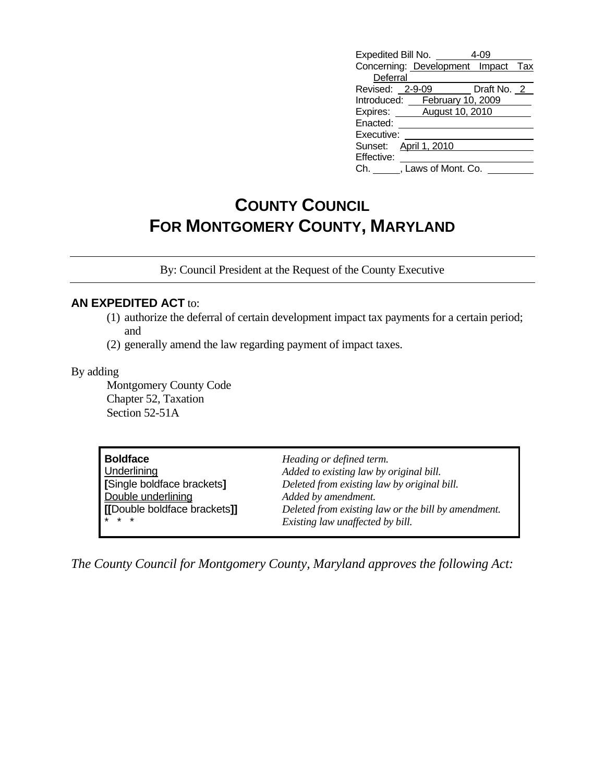| Expedited Bill No.                 |                   |  |
|------------------------------------|-------------------|--|
| Concerning: Development Impact Tax |                   |  |
| Deferral                           |                   |  |
| Revised: 2-9-09                    | Draft No. 2       |  |
| Introduced:                        | February 10, 2009 |  |
| Expires: August 10, 2010           |                   |  |
| Enacted:                           |                   |  |
| Executive:                         |                   |  |
| April 1, 2010<br>Sunset:           |                   |  |
| Effective:                         |                   |  |
| , Laws of Mont. Co.<br>Ch.         |                   |  |

# **COUNTY COUNCIL FOR MONTGOMERY COUNTY, MARYLAND**

By: Council President at the Request of the County Executive

#### **AN EXPEDITED ACT** to:

- (1) authorize the deferral of certain development impact tax payments for a certain period; and
- (2) generally amend the law regarding payment of impact taxes.

#### By adding

 Montgomery County Code Chapter 52, Taxation Section 52-51A

| <b>Boldface</b>              | Heading or defined term.                            |
|------------------------------|-----------------------------------------------------|
| Underlining                  | Added to existing law by original bill.             |
| [Single boldface brackets]   | Deleted from existing law by original bill.         |
| Double underlining           | Added by amendment.                                 |
| [[Double boldface brackets]] | Deleted from existing law or the bill by amendment. |
| $* * *$                      | Existing law unaffected by bill.                    |

*The County Council for Montgomery County, Maryland approves the following Act:*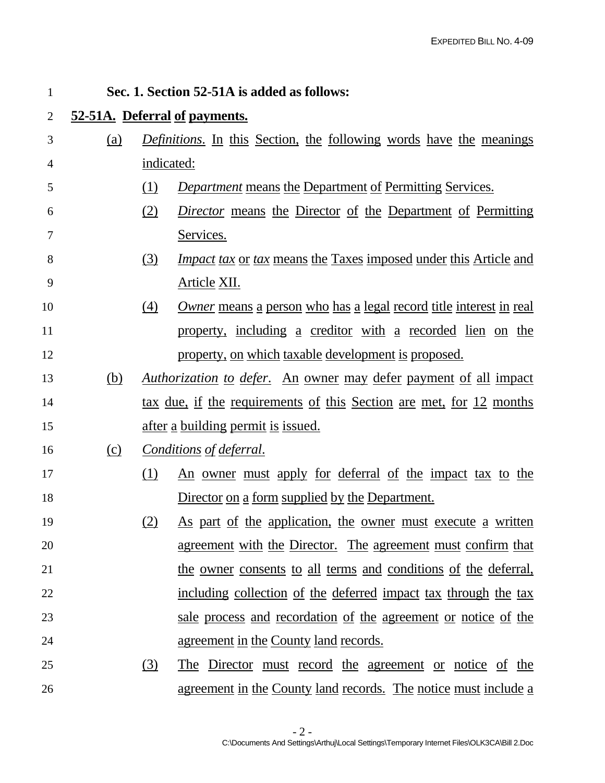| 1              |            |            | Sec. 1. Section 52-51A is added as follows:                                |
|----------------|------------|------------|----------------------------------------------------------------------------|
| $\overline{2}$ |            |            | 52-51A. Deferral of payments.                                              |
| 3              | (a)        |            | <i>Definitions.</i> In this Section, the following words have the meanings |
| 4              |            | indicated: |                                                                            |
| 5              |            | (1)        | <b>Department means the Department of Permitting Services.</b>             |
| 6              |            | (2)        | <i>Director</i> means the Director of the Department of Permitting         |
| 7              |            |            | Services.                                                                  |
| 8              |            | (3)        | <i>Impact tax or tax means the Taxes imposed under this Article and</i>    |
| 9              |            |            | Article XII.                                                               |
| 10             |            | (4)        | <u>Owner means a person who has a legal record title interest in real</u>  |
| 11             |            |            | property, including a creditor with a recorded lien on the                 |
| 12             |            |            | property, on which taxable development is proposed.                        |
| 13             | <u>(b)</u> |            | <u>Authorization to defer. An owner may defer payment of all impact</u>    |
| 14             |            |            | tax due, if the requirements of this Section are met, for 12 months        |
| 15             |            |            | <u>after a building permit is issued.</u>                                  |
| 16             | (c)        |            | Conditions of deferral.                                                    |
| 17             |            | (1)        | <u>An owner must apply for deferral of the impact tax to the</u>           |
| 18             |            |            | Director on a form supplied by the Department.                             |
| 19             |            | <u>(2)</u> | As part of the application, the owner must execute a written               |
| 20             |            |            | <u>agreement with the Director. The agreement must confirm that</u>        |
| 21             |            |            | the owner consents to all terms and conditions of the deferral,            |
| 22             |            |            | including collection of the deferred impact tax through the tax            |
| 23             |            |            | sale process and recordation of the agreement or notice of the             |
| 24             |            |            | <u>agreement in the County land records.</u>                               |
| 25             |            | (3)        | <u>The Director must record the agreement or notice of the</u>             |
| 26             |            |            | agreement in the County land records. The notice must include a            |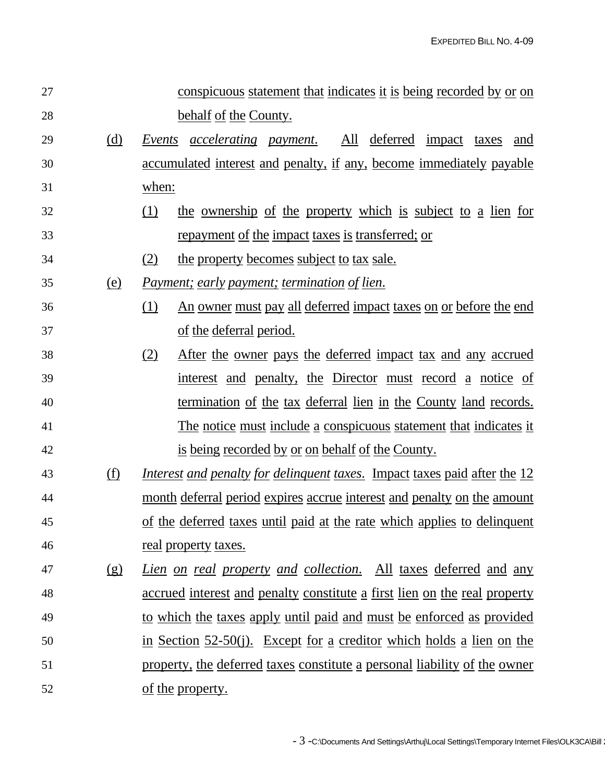| 27 |            | conspicuous statement that indicates it is being recorded by or on               |
|----|------------|----------------------------------------------------------------------------------|
| 28 |            | behalf of the County.                                                            |
| 29 | (d)        | Events <u>accelerating</u> payment.<br>All deferred<br>impact taxes<br>and       |
| 30 |            | accumulated interest and penalty, if any, become immediately payable             |
| 31 |            | when:                                                                            |
| 32 |            | the ownership of the property which is subject to a lien for<br>(1)              |
| 33 |            | repayment of the impact taxes is transferred; or                                 |
| 34 |            | the property becomes subject to tax sale.<br>(2)                                 |
| 35 | (e)        | <i>Payment; early payment; termination of lien.</i>                              |
| 36 |            | <u>An owner must pay all deferred impact taxes on or before the end</u><br>(1)   |
| 37 |            | of the deferral period.                                                          |
| 38 |            | After the owner pays the deferred impact tax and any accrued<br>(2)              |
| 39 |            | interest and penalty, the Director must record a notice of                       |
| 40 |            | termination of the tax deferral lien in the County land records.                 |
| 41 |            | The notice must include a conspicuous statement that indicates it                |
| 42 |            | is being recorded by or on behalf of the County.                                 |
| 43 | <u>(f)</u> | <i>Interest and penalty for delinquent taxes.</i> Impact taxes paid after the 12 |
| 44 |            | <u>month deferral period expires accrue interest and penalty on the amount</u>   |
| 45 |            | of the deferred taxes until paid at the rate which applies to delinquent         |
| 46 |            | <u>real</u> property taxes.                                                      |
| 47 | (g)        | Lien on real property and collection. All taxes deferred and any                 |
| 48 |            | <u>accrued interest and penalty constitute a first lien on the real property</u> |
| 49 |            | to which the taxes apply until paid and must be enforced as provided             |
| 50 |            | in Section 52-50(j). Except for a creditor which holds a lien on the             |
| 51 |            | property, the deferred taxes constitute a personal liability of the owner        |
| 52 |            | <u>of the property.</u>                                                          |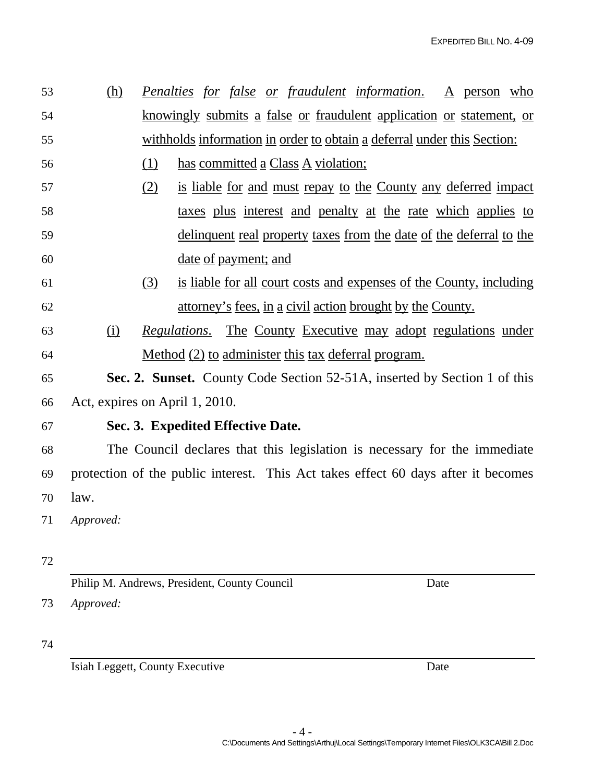53 (h) *Penalties for false or fraudulent information*. A person who 54 knowingly submits a false or fraudulent application or statement, or 55 withholds information in order to obtain a deferral under this Section:

- 56 (1) has committed a Class A violation;
- 57 (2) is liable for and must repay to the County any deferred impact 58 taxes plus interest and penalty at the rate which applies to 59 delinquent real property taxes from the date of the deferral to the 60 date of payment; and
- 61 (3) is liable for all court costs and expenses of the County, including 62 attorney's fees, in a civil action brought by the County.
- 63 (i) *Regulations*. The County Executive may adopt regulations under 64 Method (2) to administer this tax deferral program.
- 65 **Sec. 2. Sunset.** County Code Section 52-51A, inserted by Section 1 of this 66 Act, expires on April 1, 2010.
- 

## 67 **Sec. 3. Expedited Effective Date.**

68 The Council declares that this legislation is necessary for the immediate 69 protection of the public interest. This Act takes effect 60 days after it becomes 70 law.

71 *Approved:*

- 72
- Philip M. Andrews, President, County Council Date

73 *Approved:*

74

Isiah Leggett, County Executive Date